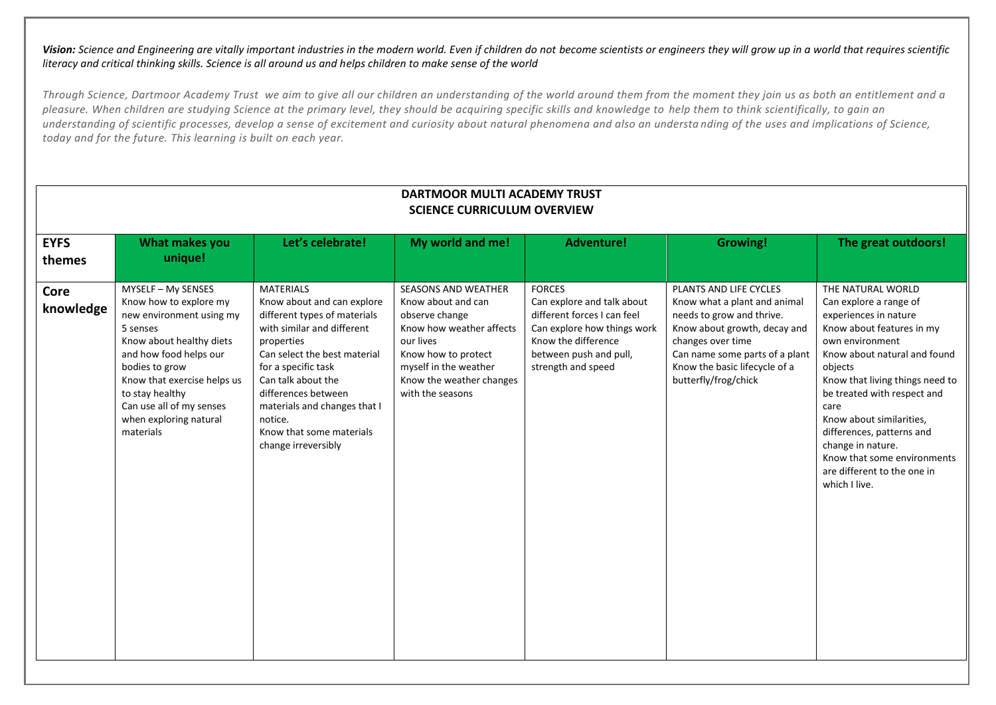|                          |                                                                                                                                                                                                                                                                                   |                                                                                                                                                                                                                                                                                                                              | DARTMOOR MULTI ACADEMY TRUST<br><b>SCIENCE CURRICULUM OVERVIEW</b>                                                                                                                                   |                                                                                                                                                                                  |                                                                                                                                                                                                                                     |                                                                                                                                                                                                                                                                                                                                                                                                        |
|--------------------------|-----------------------------------------------------------------------------------------------------------------------------------------------------------------------------------------------------------------------------------------------------------------------------------|------------------------------------------------------------------------------------------------------------------------------------------------------------------------------------------------------------------------------------------------------------------------------------------------------------------------------|------------------------------------------------------------------------------------------------------------------------------------------------------------------------------------------------------|----------------------------------------------------------------------------------------------------------------------------------------------------------------------------------|-------------------------------------------------------------------------------------------------------------------------------------------------------------------------------------------------------------------------------------|--------------------------------------------------------------------------------------------------------------------------------------------------------------------------------------------------------------------------------------------------------------------------------------------------------------------------------------------------------------------------------------------------------|
| <b>EYFS</b><br>themes    | What makes you<br>unique!                                                                                                                                                                                                                                                         | Let's celebrate!                                                                                                                                                                                                                                                                                                             | My world and me!                                                                                                                                                                                     | <b>Adventure!</b>                                                                                                                                                                | <b>Growing!</b>                                                                                                                                                                                                                     | The great outdoors!                                                                                                                                                                                                                                                                                                                                                                                    |
| <b>Core</b><br>knowledge | MYSELF - My SENSES<br>Know how to explore my<br>new environment using my<br>5 senses<br>Know about healthy diets<br>and how food helps our<br>bodies to grow<br>Know that exercise helps us<br>to stay healthy<br>Can use all of my senses<br>when exploring natural<br>materials | <b>MATERIALS</b><br>Know about and can explore<br>different types of materials<br>with similar and different<br>properties<br>Can select the best material<br>for a specific task<br>Can talk about the<br>differences between<br>materials and changes that I<br>notice.<br>Know that some materials<br>change irreversibly | SEASONS AND WEATHER<br>Know about and can<br>observe change<br>Know how weather affects<br>our lives<br>Know how to protect<br>myself in the weather<br>Know the weather changes<br>with the seasons | <b>FORCES</b><br>Can explore and talk about<br>different forces I can feel<br>Can explore how things work<br>Know the difference<br>between push and pull,<br>strength and speed | PLANTS AND LIFE CYCLES<br>Know what a plant and animal<br>needs to grow and thrive.<br>Know about growth, decay and<br>changes over time<br>Can name some parts of a plant<br>Know the basic lifecycle of a<br>butterfly/frog/chick | THE NATURAL WORLD<br>Can explore a range of<br>experiences in nature<br>Know about features in my<br>own environment<br>Know about natural and found<br>objects<br>Know that living things need to<br>be treated with respect and<br>care<br>Know about similarities,<br>differences, patterns and<br>change in nature.<br>Know that some environments<br>are different to the one in<br>which I live. |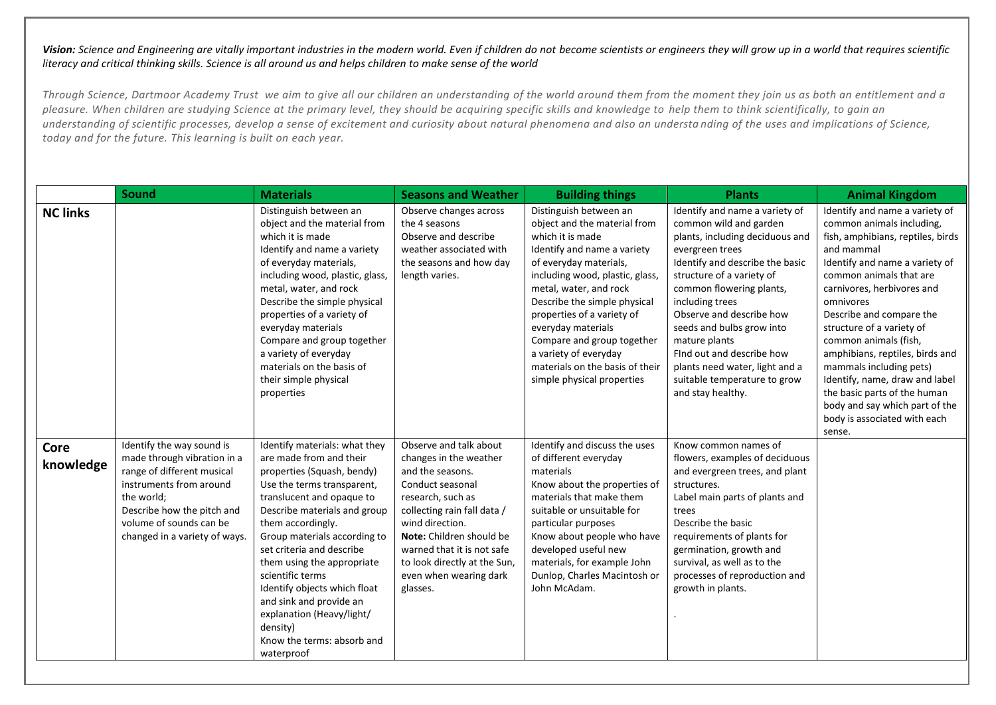|                   | Sound                                                                                                                                                                                                                     | <b>Materials</b>                                                                                                                                                                                                                                                                                                                                                                                                                                                      | <b>Seasons and Weather</b>                                                                                                                                                                                                                                                                      | <b>Building things</b>                                                                                                                                                                                                                                                                                                                                                                                       | <b>Plants</b>                                                                                                                                                                                                                                                                                                                                                                                                               | <b>Animal Kingdom</b>                                                                                                                                                                                                                                                                                                                                                                                                                                                                                                |
|-------------------|---------------------------------------------------------------------------------------------------------------------------------------------------------------------------------------------------------------------------|-----------------------------------------------------------------------------------------------------------------------------------------------------------------------------------------------------------------------------------------------------------------------------------------------------------------------------------------------------------------------------------------------------------------------------------------------------------------------|-------------------------------------------------------------------------------------------------------------------------------------------------------------------------------------------------------------------------------------------------------------------------------------------------|--------------------------------------------------------------------------------------------------------------------------------------------------------------------------------------------------------------------------------------------------------------------------------------------------------------------------------------------------------------------------------------------------------------|-----------------------------------------------------------------------------------------------------------------------------------------------------------------------------------------------------------------------------------------------------------------------------------------------------------------------------------------------------------------------------------------------------------------------------|----------------------------------------------------------------------------------------------------------------------------------------------------------------------------------------------------------------------------------------------------------------------------------------------------------------------------------------------------------------------------------------------------------------------------------------------------------------------------------------------------------------------|
| <b>NC links</b>   |                                                                                                                                                                                                                           | Distinguish between an<br>object and the material from<br>which it is made<br>Identify and name a variety<br>of everyday materials,<br>including wood, plastic, glass,<br>metal, water, and rock<br>Describe the simple physical<br>properties of a variety of<br>everyday materials<br>Compare and group together<br>a variety of everyday<br>materials on the basis of<br>their simple physical<br>properties                                                       | Observe changes across<br>the 4 seasons<br>Observe and describe<br>weather associated with<br>the seasons and how day<br>length varies.                                                                                                                                                         | Distinguish between an<br>object and the material from<br>which it is made<br>Identify and name a variety<br>of everyday materials,<br>including wood, plastic, glass,<br>metal, water, and rock<br>Describe the simple physical<br>properties of a variety of<br>everyday materials<br>Compare and group together<br>a variety of everyday<br>materials on the basis of their<br>simple physical properties | Identify and name a variety of<br>common wild and garden<br>plants, including deciduous and<br>evergreen trees<br>Identify and describe the basic<br>structure of a variety of<br>common flowering plants,<br>including trees<br>Observe and describe how<br>seeds and bulbs grow into<br>mature plants<br>Find out and describe how<br>plants need water, light and a<br>suitable temperature to grow<br>and stay healthy. | Identify and name a variety of<br>common animals including,<br>fish, amphibians, reptiles, birds<br>and mammal<br>Identify and name a variety of<br>common animals that are<br>carnivores, herbivores and<br>omnivores<br>Describe and compare the<br>structure of a variety of<br>common animals (fish,<br>amphibians, reptiles, birds and<br>mammals including pets)<br>Identify, name, draw and label<br>the basic parts of the human<br>body and say which part of the<br>body is associated with each<br>sense. |
| Core<br>knowledge | Identify the way sound is<br>made through vibration in a<br>range of different musical<br>instruments from around<br>the world;<br>Describe how the pitch and<br>volume of sounds can be<br>changed in a variety of ways. | Identify materials: what they<br>are made from and their<br>properties (Squash, bendy)<br>Use the terms transparent,<br>translucent and opaque to<br>Describe materials and group<br>them accordingly.<br>Group materials according to<br>set criteria and describe<br>them using the appropriate<br>scientific terms<br>Identify objects which float<br>and sink and provide an<br>explanation (Heavy/light/<br>density)<br>Know the terms: absorb and<br>waterproof | Observe and talk about<br>changes in the weather<br>and the seasons.<br>Conduct seasonal<br>research, such as<br>collecting rain fall data /<br>wind direction.<br>Note: Children should be<br>warned that it is not safe<br>to look directly at the Sun,<br>even when wearing dark<br>glasses. | Identify and discuss the uses<br>of different everyday<br>materials<br>Know about the properties of<br>materials that make them<br>suitable or unsuitable for<br>particular purposes<br>Know about people who have<br>developed useful new<br>materials, for example John<br>Dunlop, Charles Macintosh or<br>John McAdam.                                                                                    | Know common names of<br>flowers, examples of deciduous<br>and evergreen trees, and plant<br>structures.<br>Label main parts of plants and<br>trees<br>Describe the basic<br>requirements of plants for<br>germination, growth and<br>survival, as well as to the<br>processes of reproduction and<br>growth in plants.                                                                                                      |                                                                                                                                                                                                                                                                                                                                                                                                                                                                                                                      |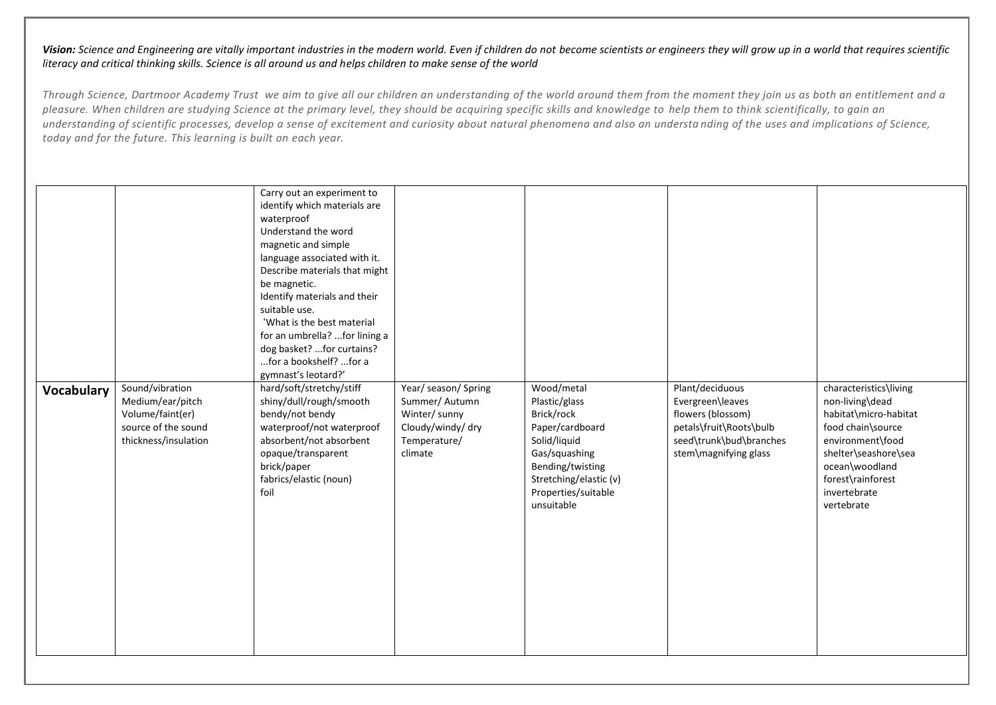|            |                                                                                                        | Carry out an experiment to<br>identify which materials are<br>waterproof<br>Understand the word<br>magnetic and simple<br>language associated with it.<br>Describe materials that might<br>be magnetic.<br>Identify materials and their<br>suitable use.<br>'What is the best material<br>for an umbrella? for lining a<br>dog basket? for curtains?<br>for a bookshelf? for a<br>gymnast's leotard?' |                                                                                                         |                                                                                                                                                                                  |                                                                                                                                         |                                                                                                                                                                                                          |
|------------|--------------------------------------------------------------------------------------------------------|-------------------------------------------------------------------------------------------------------------------------------------------------------------------------------------------------------------------------------------------------------------------------------------------------------------------------------------------------------------------------------------------------------|---------------------------------------------------------------------------------------------------------|----------------------------------------------------------------------------------------------------------------------------------------------------------------------------------|-----------------------------------------------------------------------------------------------------------------------------------------|----------------------------------------------------------------------------------------------------------------------------------------------------------------------------------------------------------|
| Vocabulary | Sound/vibration<br>Medium/ear/pitch<br>Volume/faint(er)<br>source of the sound<br>thickness/insulation | hard/soft/stretchy/stiff<br>shiny/dull/rough/smooth<br>bendy/not bendy<br>waterproof/not waterproof<br>absorbent/not absorbent<br>opaque/transparent<br>brick/paper<br>fabrics/elastic (noun)<br>foil                                                                                                                                                                                                 | Year/ season/ Spring<br>Summer/ Autumn<br>Winter/ sunny<br>Cloudy/windy/ dry<br>Temperature/<br>climate | Wood/metal<br>Plastic/glass<br>Brick/rock<br>Paper/cardboard<br>Solid/liquid<br>Gas/squashing<br>Bending/twisting<br>Stretching/elastic (v)<br>Properties/suitable<br>unsuitable | Plant/deciduous<br>Evergreen\leaves<br>flowers (blossom)<br>petals\fruit\Roots\bulb<br>seed\trunk\bud\branches<br>stem\magnifying glass | characteristics\living<br>non-living\dead<br>habitat\micro-habitat<br>food chain\source<br>environment\food<br>shelter\seashore\sea<br>ocean\woodland<br>forest\rainforest<br>invertebrate<br>vertebrate |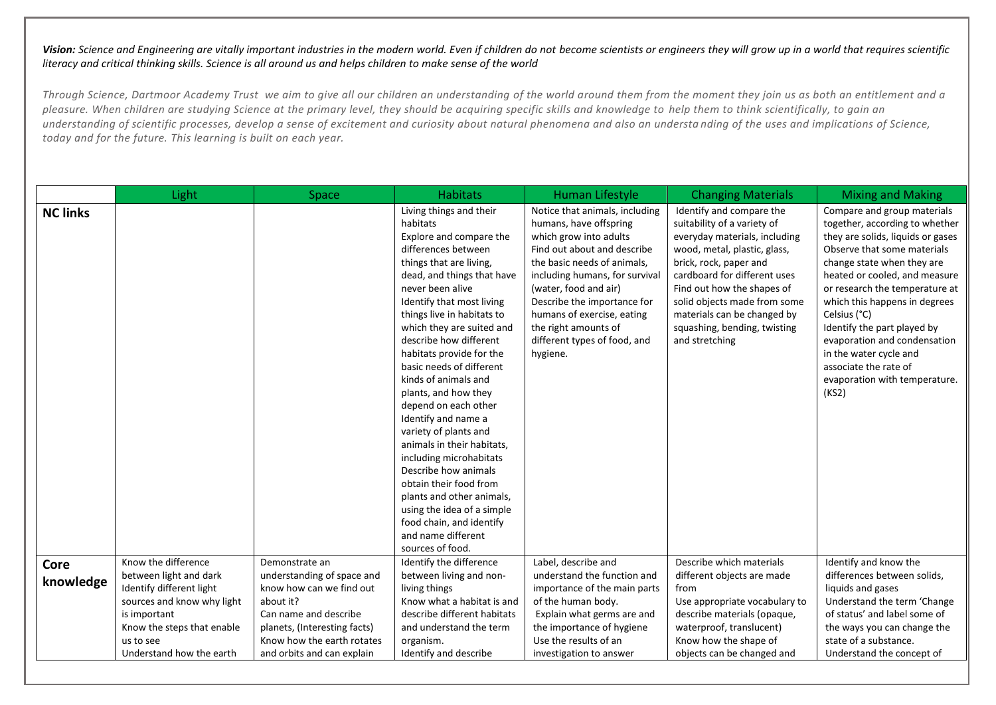|                   | Light                                                                                                                                                              | Space                                                                                                                                                                        | <b>Habitats</b>                                                                                                                                                                                                                                                                                                                                                                                                                                                                                                                                                                                                                                                                                                  | <b>Human Lifestyle</b>                                                                                                                                                                                                                                                                                                                       | <b>Changing Materials</b>                                                                                                                                                                                                                                                                                                         | <b>Mixing and Making</b>                                                                                                                                                                                                                                                                                                                                                                                                                        |
|-------------------|--------------------------------------------------------------------------------------------------------------------------------------------------------------------|------------------------------------------------------------------------------------------------------------------------------------------------------------------------------|------------------------------------------------------------------------------------------------------------------------------------------------------------------------------------------------------------------------------------------------------------------------------------------------------------------------------------------------------------------------------------------------------------------------------------------------------------------------------------------------------------------------------------------------------------------------------------------------------------------------------------------------------------------------------------------------------------------|----------------------------------------------------------------------------------------------------------------------------------------------------------------------------------------------------------------------------------------------------------------------------------------------------------------------------------------------|-----------------------------------------------------------------------------------------------------------------------------------------------------------------------------------------------------------------------------------------------------------------------------------------------------------------------------------|-------------------------------------------------------------------------------------------------------------------------------------------------------------------------------------------------------------------------------------------------------------------------------------------------------------------------------------------------------------------------------------------------------------------------------------------------|
| <b>NC links</b>   |                                                                                                                                                                    |                                                                                                                                                                              | Living things and their<br>habitats<br>Explore and compare the<br>differences between<br>things that are living,<br>dead, and things that have<br>never been alive<br>Identify that most living<br>things live in habitats to<br>which they are suited and<br>describe how different<br>habitats provide for the<br>basic needs of different<br>kinds of animals and<br>plants, and how they<br>depend on each other<br>Identify and name a<br>variety of plants and<br>animals in their habitats,<br>including microhabitats<br>Describe how animals<br>obtain their food from<br>plants and other animals,<br>using the idea of a simple<br>food chain, and identify<br>and name different<br>sources of food. | Notice that animals, including<br>humans, have offspring<br>which grow into adults<br>Find out about and describe<br>the basic needs of animals,<br>including humans, for survival<br>(water, food and air)<br>Describe the importance for<br>humans of exercise, eating<br>the right amounts of<br>different types of food, and<br>hygiene. | Identify and compare the<br>suitability of a variety of<br>everyday materials, including<br>wood, metal, plastic, glass,<br>brick, rock, paper and<br>cardboard for different uses<br>Find out how the shapes of<br>solid objects made from some<br>materials can be changed by<br>squashing, bending, twisting<br>and stretching | Compare and group materials<br>together, according to whether<br>they are solids, liquids or gases<br>Observe that some materials<br>change state when they are<br>heated or cooled, and measure<br>or research the temperature at<br>which this happens in degrees<br>Celsius (°C)<br>Identify the part played by<br>evaporation and condensation<br>in the water cycle and<br>associate the rate of<br>evaporation with temperature.<br>(KS2) |
| Core<br>knowledge | Know the difference<br>between light and dark<br>Identify different light<br>sources and know why light<br>is important<br>Know the steps that enable<br>us to see | Demonstrate an<br>understanding of space and<br>know how can we find out<br>about it?<br>Can name and describe<br>planets, (Interesting facts)<br>Know how the earth rotates | Identify the difference<br>between living and non-<br>living things<br>Know what a habitat is and<br>describe different habitats<br>and understand the term<br>organism.                                                                                                                                                                                                                                                                                                                                                                                                                                                                                                                                         | Label, describe and<br>understand the function and<br>importance of the main parts<br>of the human body.<br>Explain what germs are and<br>the importance of hygiene<br>Use the results of an                                                                                                                                                 | Describe which materials<br>different objects are made<br>from<br>Use appropriate vocabulary to<br>describe materials (opaque,<br>waterproof, translucent)<br>Know how the shape of                                                                                                                                               | Identify and know the<br>differences between solids,<br>liquids and gases<br>Understand the term 'Change<br>of status' and label some of<br>the ways you can change the<br>state of a substance.                                                                                                                                                                                                                                                |
|                   | Understand how the earth                                                                                                                                           | and orbits and can explain                                                                                                                                                   | Identify and describe                                                                                                                                                                                                                                                                                                                                                                                                                                                                                                                                                                                                                                                                                            | investigation to answer                                                                                                                                                                                                                                                                                                                      | objects can be changed and                                                                                                                                                                                                                                                                                                        | Understand the concept of                                                                                                                                                                                                                                                                                                                                                                                                                       |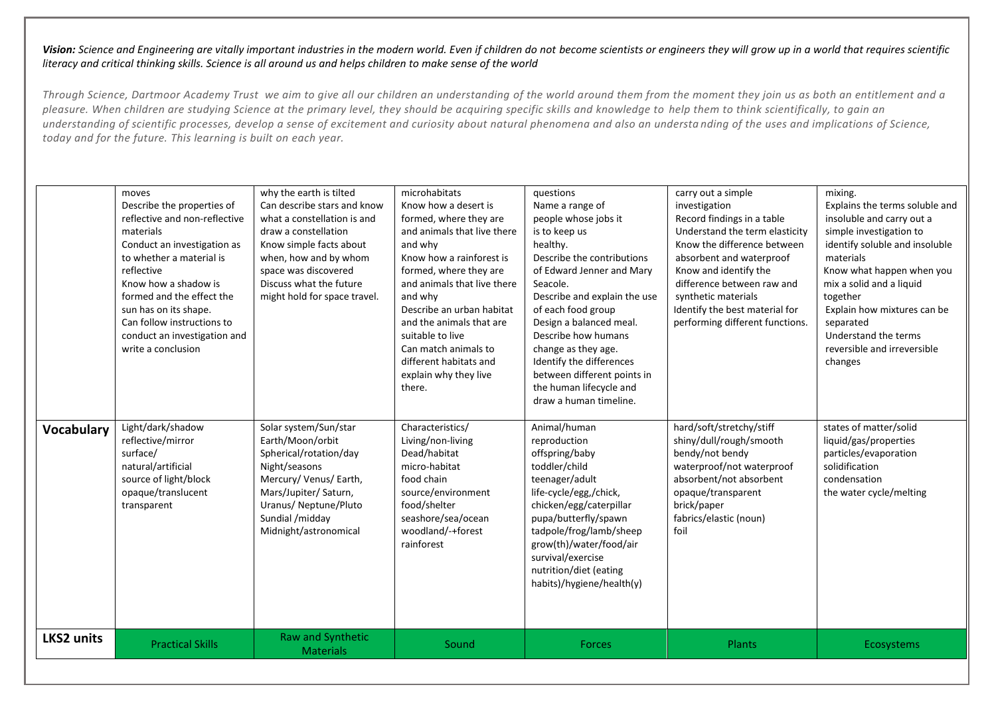| <b>Vocabulary</b> | moves<br>Describe the properties of<br>reflective and non-reflective<br>materials<br>Conduct an investigation as<br>to whether a material is<br>reflective<br>Know how a shadow is<br>formed and the effect the<br>sun has on its shape.<br>Can follow instructions to<br>conduct an investigation and<br>write a conclusion<br>Light/dark/shadow<br>reflective/mirror<br>surface/<br>natural/artificial<br>source of light/block<br>opaque/translucent<br>transparent | why the earth is tilted<br>Can describe stars and know<br>what a constellation is and<br>draw a constellation<br>Know simple facts about<br>when, how and by whom<br>space was discovered<br>Discuss what the future<br>might hold for space travel.<br>Solar system/Sun/star<br>Earth/Moon/orbit<br>Spherical/rotation/day<br>Night/seasons<br>Mercury/ Venus/ Earth,<br>Mars/Jupiter/ Saturn,<br>Uranus/ Neptune/Pluto<br>Sundial /midday<br>Midnight/astronomical | microhabitats<br>Know how a desert is<br>formed, where they are<br>and animals that live there<br>and why<br>Know how a rainforest is<br>formed, where they are<br>and animals that live there<br>and why<br>Describe an urban habitat<br>and the animals that are<br>suitable to live<br>Can match animals to<br>different habitats and<br>explain why they live<br>there.<br>Characteristics/<br>Living/non-living<br>Dead/habitat<br>micro-habitat<br>food chain<br>source/environment<br>food/shelter<br>seashore/sea/ocean<br>woodland/-+forest<br>rainforest | questions<br>Name a range of<br>people whose jobs it<br>is to keep us<br>healthy.<br>Describe the contributions<br>of Edward Jenner and Mary<br>Seacole.<br>Describe and explain the use<br>of each food group<br>Design a balanced meal.<br>Describe how humans<br>change as they age.<br>Identify the differences<br>between different points in<br>the human lifecycle and<br>draw a human timeline.<br>Animal/human<br>reproduction<br>offspring/baby<br>toddler/child<br>teenager/adult<br>life-cycle/egg,/chick,<br>chicken/egg/caterpillar<br>pupa/butterfly/spawn<br>tadpole/frog/lamb/sheep<br>grow(th)/water/food/air<br>survival/exercise<br>nutrition/diet (eating<br>habits)/hygiene/health(y) | carry out a simple<br>investigation<br>Record findings in a table<br>Understand the term elasticity<br>Know the difference between<br>absorbent and waterproof<br>Know and identify the<br>difference between raw and<br>synthetic materials<br>Identify the best material for<br>performing different functions.<br>hard/soft/stretchy/stiff<br>shiny/dull/rough/smooth<br>bendy/not bendy<br>waterproof/not waterproof<br>absorbent/not absorbent<br>opaque/transparent<br>brick/paper<br>fabrics/elastic (noun)<br>foil | mixing.<br>Explains the terms soluble and<br>insoluble and carry out a<br>simple investigation to<br>identify soluble and insoluble<br>materials<br>Know what happen when you<br>mix a solid and a liquid<br>together<br>Explain how mixtures can be<br>separated<br>Understand the terms<br>reversible and irreversible<br>changes<br>states of matter/solid<br>liquid/gas/properties<br>particles/evaporation<br>solidification<br>condensation<br>the water cycle/melting |
|-------------------|------------------------------------------------------------------------------------------------------------------------------------------------------------------------------------------------------------------------------------------------------------------------------------------------------------------------------------------------------------------------------------------------------------------------------------------------------------------------|----------------------------------------------------------------------------------------------------------------------------------------------------------------------------------------------------------------------------------------------------------------------------------------------------------------------------------------------------------------------------------------------------------------------------------------------------------------------|--------------------------------------------------------------------------------------------------------------------------------------------------------------------------------------------------------------------------------------------------------------------------------------------------------------------------------------------------------------------------------------------------------------------------------------------------------------------------------------------------------------------------------------------------------------------|-------------------------------------------------------------------------------------------------------------------------------------------------------------------------------------------------------------------------------------------------------------------------------------------------------------------------------------------------------------------------------------------------------------------------------------------------------------------------------------------------------------------------------------------------------------------------------------------------------------------------------------------------------------------------------------------------------------|----------------------------------------------------------------------------------------------------------------------------------------------------------------------------------------------------------------------------------------------------------------------------------------------------------------------------------------------------------------------------------------------------------------------------------------------------------------------------------------------------------------------------|------------------------------------------------------------------------------------------------------------------------------------------------------------------------------------------------------------------------------------------------------------------------------------------------------------------------------------------------------------------------------------------------------------------------------------------------------------------------------|
| <b>LKS2 units</b> | <b>Practical Skills</b>                                                                                                                                                                                                                                                                                                                                                                                                                                                | Raw and Synthetic<br><b>Materials</b>                                                                                                                                                                                                                                                                                                                                                                                                                                | Sound                                                                                                                                                                                                                                                                                                                                                                                                                                                                                                                                                              | <b>Forces</b>                                                                                                                                                                                                                                                                                                                                                                                                                                                                                                                                                                                                                                                                                               | Plants                                                                                                                                                                                                                                                                                                                                                                                                                                                                                                                     | Ecosystems                                                                                                                                                                                                                                                                                                                                                                                                                                                                   |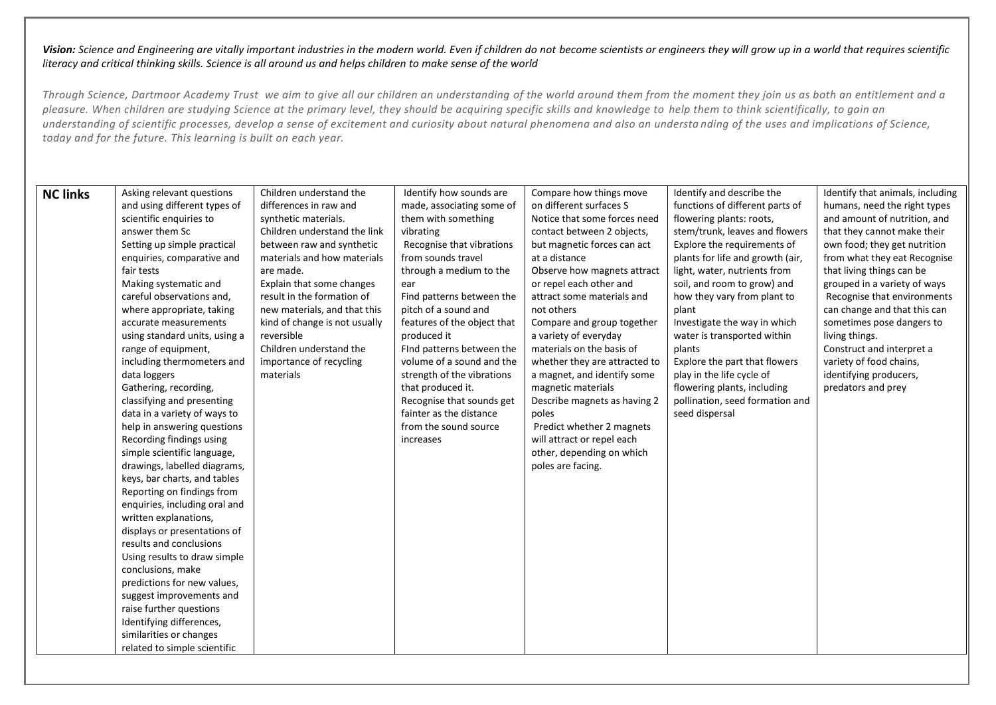| <b>NC links</b> | Asking relevant questions     | Children understand the       | Identify how sounds are     | Compare how things move       | Identify and describe the        | Identify that animals, including |
|-----------------|-------------------------------|-------------------------------|-----------------------------|-------------------------------|----------------------------------|----------------------------------|
|                 | and using different types of  | differences in raw and        | made, associating some of   | on different surfaces S       | functions of different parts of  | humans, need the right types     |
|                 | scientific enquiries to       | synthetic materials.          | them with something         | Notice that some forces need  | flowering plants: roots,         | and amount of nutrition, and     |
|                 | answer them Sc                | Children understand the link  | vibrating                   | contact between 2 objects,    | stem/trunk, leaves and flowers   | that they cannot make their      |
|                 | Setting up simple practical   | between raw and synthetic     | Recognise that vibrations   | but magnetic forces can act   | Explore the requirements of      | own food; they get nutrition     |
|                 | enquiries, comparative and    | materials and how materials   | from sounds travel          | at a distance                 | plants for life and growth (air, | from what they eat Recognise     |
|                 | fair tests                    | are made.                     | through a medium to the     | Observe how magnets attract   | light, water, nutrients from     | that living things can be        |
|                 | Making systematic and         | Explain that some changes     | ear                         | or repel each other and       | soil, and room to grow) and      | grouped in a variety of ways     |
|                 | careful observations and,     | result in the formation of    | Find patterns between the   | attract some materials and    | how they vary from plant to      | Recognise that environments      |
|                 | where appropriate, taking     | new materials, and that this  | pitch of a sound and        | not others                    | plant                            | can change and that this can     |
|                 | accurate measurements         | kind of change is not usually | features of the object that | Compare and group together    | Investigate the way in which     | sometimes pose dangers to        |
|                 | using standard units, using a | reversible                    | produced it                 | a variety of everyday         | water is transported within      | living things.                   |
|                 | range of equipment,           | Children understand the       | Find patterns between the   | materials on the basis of     | plants                           | Construct and interpret a        |
|                 | including thermometers and    | importance of recycling       | volume of a sound and the   | whether they are attracted to | Explore the part that flowers    | variety of food chains,          |
|                 | data loggers                  | materials                     | strength of the vibrations  | a magnet, and identify some   | play in the life cycle of        | identifying producers,           |
|                 | Gathering, recording,         |                               | that produced it.           | magnetic materials            | flowering plants, including      | predators and prey               |
|                 | classifying and presenting    |                               | Recognise that sounds get   | Describe magnets as having 2  | pollination, seed formation and  |                                  |
|                 | data in a variety of ways to  |                               | fainter as the distance     | poles                         | seed dispersal                   |                                  |
|                 | help in answering questions   |                               | from the sound source       | Predict whether 2 magnets     |                                  |                                  |
|                 | Recording findings using      |                               | increases                   | will attract or repel each    |                                  |                                  |
|                 | simple scientific language,   |                               |                             | other, depending on which     |                                  |                                  |
|                 | drawings, labelled diagrams,  |                               |                             | poles are facing.             |                                  |                                  |
|                 | keys, bar charts, and tables  |                               |                             |                               |                                  |                                  |
|                 | Reporting on findings from    |                               |                             |                               |                                  |                                  |
|                 | enquiries, including oral and |                               |                             |                               |                                  |                                  |
|                 | written explanations,         |                               |                             |                               |                                  |                                  |
|                 | displays or presentations of  |                               |                             |                               |                                  |                                  |
|                 | results and conclusions       |                               |                             |                               |                                  |                                  |
|                 | Using results to draw simple  |                               |                             |                               |                                  |                                  |
|                 | conclusions, make             |                               |                             |                               |                                  |                                  |
|                 | predictions for new values,   |                               |                             |                               |                                  |                                  |
|                 | suggest improvements and      |                               |                             |                               |                                  |                                  |
|                 | raise further questions       |                               |                             |                               |                                  |                                  |
|                 | Identifying differences,      |                               |                             |                               |                                  |                                  |
|                 | similarities or changes       |                               |                             |                               |                                  |                                  |
|                 | related to simple scientific  |                               |                             |                               |                                  |                                  |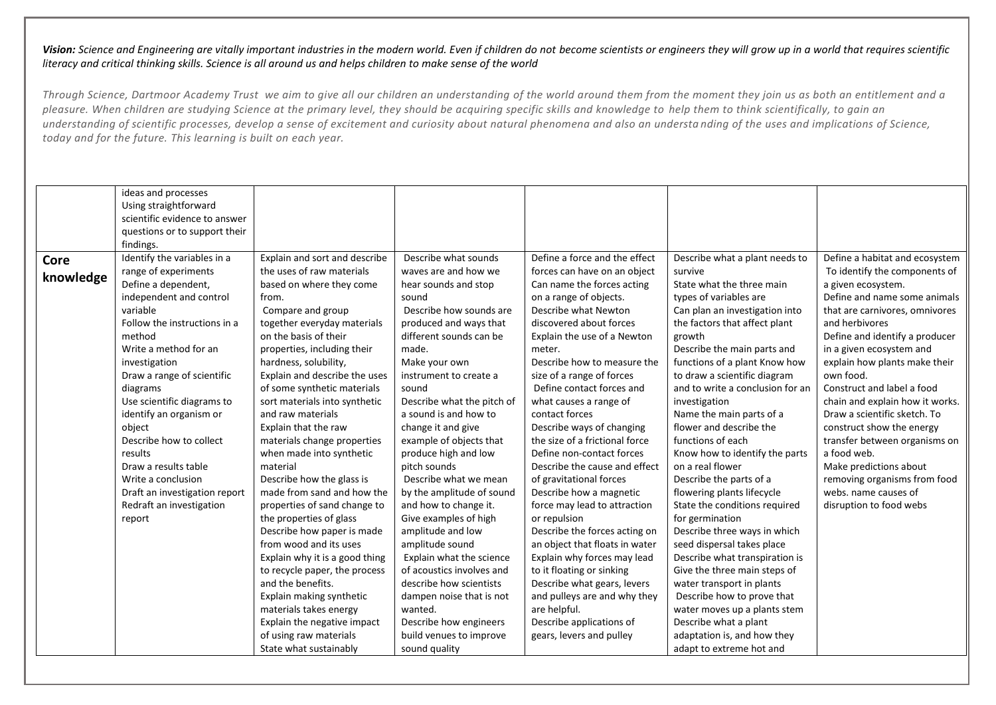| Identify the variables in a<br>Define a force and the effect<br>Define a habitat and ecosystem<br>Explain and sort and describe<br>Describe what sounds<br>Describe what a plant needs to<br><b>Core</b><br>the uses of raw materials<br>range of experiments<br>waves are and how we<br>forces can have on an object<br>To identify the components of<br>survive<br>knowledge<br>Define a dependent,<br>based on where they come<br>Can name the forces acting<br>State what the three main<br>hear sounds and stop<br>a given ecosystem.<br>on a range of objects.<br>Define and name some animals<br>independent and control<br>types of variables are<br>from.<br>sound<br>Compare and group<br>variable<br>Describe how sounds are<br>Describe what Newton<br>Can plan an investigation into<br>that are carnivores, omnivores<br>Follow the instructions in a<br>together everyday materials<br>discovered about forces<br>produced and ways that<br>the factors that affect plant<br>and herbivores<br>on the basis of their<br>Define and identify a producer<br>method<br>different sounds can be<br>Explain the use of a Newton<br>growth<br>Write a method for an<br>Describe the main parts and<br>properties, including their<br>in a given ecosystem and<br>made.<br>meter.<br>Describe how to measure the<br>hardness, solubility,<br>functions of a plant Know how<br>explain how plants make their<br>investigation<br>Make your own<br>Explain and describe the uses<br>size of a range of forces<br>to draw a scientific diagram<br>own food.<br>Draw a range of scientific<br>instrument to create a<br>Construct and label a food<br>of some synthetic materials<br>Define contact forces and<br>and to write a conclusion for an<br>diagrams<br>sound<br>Use scientific diagrams to<br>Describe what the pitch of<br>sort materials into synthetic<br>what causes a range of<br>chain and explain how it works.<br>investigation<br>identify an organism or<br>and raw materials<br>a sound is and how to<br>contact forces<br>Name the main parts of a<br>Draw a scientific sketch. To<br>flower and describe the<br>Explain that the raw<br>change it and give<br>Describe ways of changing<br>construct show the energy<br>object<br>the size of a frictional force<br>Describe how to collect<br>materials change properties<br>example of objects that<br>functions of each<br>transfer between organisms on<br>a food web.<br>Define non-contact forces<br>Know how to identify the parts<br>results<br>when made into synthetic<br>produce high and low<br>on a real flower<br>material<br>Describe the cause and effect<br>Make predictions about<br>Draw a results table<br>pitch sounds<br>Describe how the glass is<br>Describe the parts of a<br>Write a conclusion<br>Describe what we mean<br>of gravitational forces<br>removing organisms from food<br>made from sand and how the<br>Describe how a magnetic<br>flowering plants lifecycle<br>webs, name causes of<br>Draft an investigation report<br>by the amplitude of sound<br>Redraft an investigation<br>properties of sand change to<br>and how to change it.<br>State the conditions required<br>disruption to food webs<br>force may lead to attraction<br>the properties of glass<br>Give examples of high<br>or repulsion<br>for germination<br>report | ideas and processes<br>Using straightforward<br>scientific evidence to answer<br>questions or to support their<br>findings. |  |  |  |
|----------------------------------------------------------------------------------------------------------------------------------------------------------------------------------------------------------------------------------------------------------------------------------------------------------------------------------------------------------------------------------------------------------------------------------------------------------------------------------------------------------------------------------------------------------------------------------------------------------------------------------------------------------------------------------------------------------------------------------------------------------------------------------------------------------------------------------------------------------------------------------------------------------------------------------------------------------------------------------------------------------------------------------------------------------------------------------------------------------------------------------------------------------------------------------------------------------------------------------------------------------------------------------------------------------------------------------------------------------------------------------------------------------------------------------------------------------------------------------------------------------------------------------------------------------------------------------------------------------------------------------------------------------------------------------------------------------------------------------------------------------------------------------------------------------------------------------------------------------------------------------------------------------------------------------------------------------------------------------------------------------------------------------------------------------------------------------------------------------------------------------------------------------------------------------------------------------------------------------------------------------------------------------------------------------------------------------------------------------------------------------------------------------------------------------------------------------------------------------------------------------------------------------------------------------------------------------------------------------------------------------------------------------------------------------------------------------------------------------------------------------------------------------------------------------------------------------------------------------------------------------------------------------------------------------------------------------------------------------------------------------------------------------------------------------------------------------------------------------------------------------------------------------------------------------------------------------------------------------------------------------------------------------------------------------------------------------------------------------|-----------------------------------------------------------------------------------------------------------------------------|--|--|--|
| Describe how paper is made<br>amplitude and low<br>Describe the forces acting on<br>Describe three ways in which<br>from wood and its uses<br>seed dispersal takes place<br>amplitude sound<br>an object that floats in water<br>Explain why it is a good thing<br>Explain what the science<br>Explain why forces may lead<br>Describe what transpiration is<br>to it floating or sinking<br>to recycle paper, the process<br>of acoustics involves and<br>Give the three main steps of<br>and the benefits.<br>Describe what gears, levers<br>describe how scientists<br>water transport in plants<br>and pulleys are and why they<br>Describe how to prove that<br>Explain making synthetic<br>dampen noise that is not<br>are helpful.<br>materials takes energy<br>wanted.<br>water moves up a plants stem<br>Explain the negative impact<br>Describe how engineers<br>Describe applications of<br>Describe what a plant<br>of using raw materials<br>build venues to improve<br>gears, levers and pulley<br>adaptation is, and how they<br>State what sustainably<br>sound quality<br>adapt to extreme hot and                                                                                                                                                                                                                                                                                                                                                                                                                                                                                                                                                                                                                                                                                                                                                                                                                                                                                                                                                                                                                                                                                                                                                                                                                                                                                                                                                                                                                                                                                                                                                                                                                                                                                                                                                                                                                                                                                                                                                                                                                                                                                                                                                                                                                                      |                                                                                                                             |  |  |  |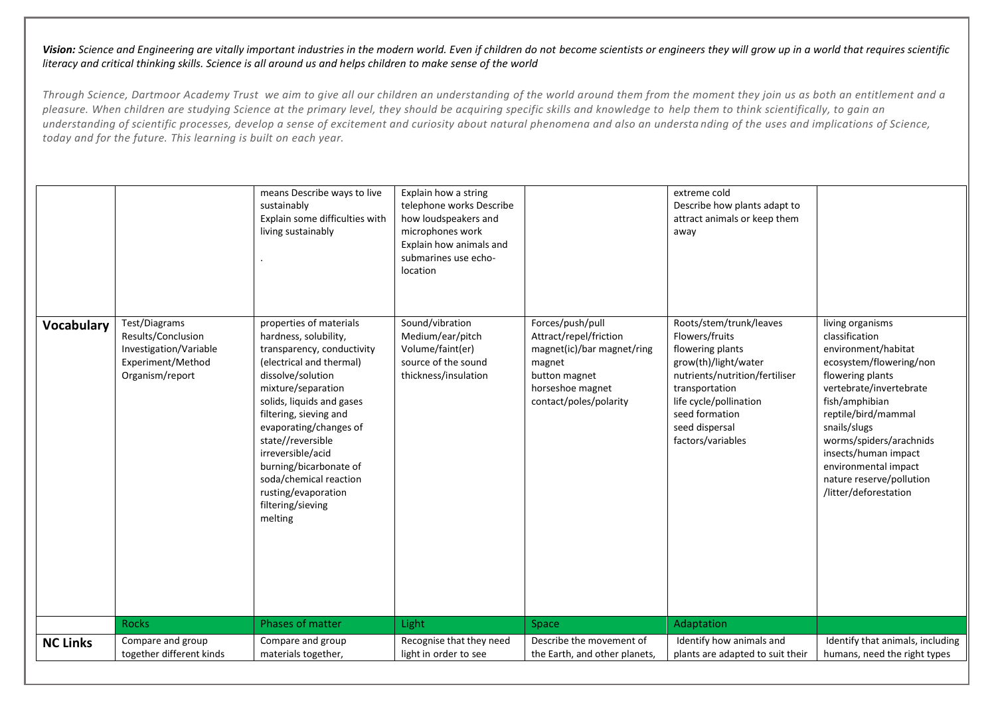| <b>Vocabulary</b> | Test/Diagrams<br>Results/Conclusion<br>Investigation/Variable | means Describe ways to live<br>sustainably<br>Explain some difficulties with<br>living sustainably<br>properties of materials<br>hardness, solubility,<br>transparency, conductivity                                                                                                                      | Explain how a string<br>telephone works Describe<br>how loudspeakers and<br>microphones work<br>Explain how animals and<br>submarines use echo-<br>location<br>Sound/vibration<br>Medium/ear/pitch<br>Volume/faint(er) | Forces/push/pull<br>Attract/repel/friction<br>magnet(ic)/bar magnet/ring | extreme cold<br>Describe how plants adapt to<br>attract animals or keep them<br>away<br>Roots/stem/trunk/leaves<br>Flowers/fruits<br>flowering plants       | living organisms<br>classification<br>environment/habitat                                                                                                                                                                                                       |
|-------------------|---------------------------------------------------------------|-----------------------------------------------------------------------------------------------------------------------------------------------------------------------------------------------------------------------------------------------------------------------------------------------------------|------------------------------------------------------------------------------------------------------------------------------------------------------------------------------------------------------------------------|--------------------------------------------------------------------------|-------------------------------------------------------------------------------------------------------------------------------------------------------------|-----------------------------------------------------------------------------------------------------------------------------------------------------------------------------------------------------------------------------------------------------------------|
|                   | Experiment/Method<br>Organism/report                          | (electrical and thermal)<br>dissolve/solution<br>mixture/separation<br>solids, liquids and gases<br>filtering, sieving and<br>evaporating/changes of<br>state//reversible<br>irreversible/acid<br>burning/bicarbonate of<br>soda/chemical reaction<br>rusting/evaporation<br>filtering/sieving<br>melting | source of the sound<br>thickness/insulation                                                                                                                                                                            | magnet<br>button magnet<br>horseshoe magnet<br>contact/poles/polarity    | grow(th)/light/water<br>nutrients/nutrition/fertiliser<br>transportation<br>life cycle/pollination<br>seed formation<br>seed dispersal<br>factors/variables | ecosystem/flowering/non<br>flowering plants<br>vertebrate/invertebrate<br>fish/amphibian<br>reptile/bird/mammal<br>snails/slugs<br>worms/spiders/arachnids<br>insects/human impact<br>environmental impact<br>nature reserve/pollution<br>/litter/deforestation |
|                   | <b>Rocks</b>                                                  | Phases of matter                                                                                                                                                                                                                                                                                          | Light                                                                                                                                                                                                                  | Space                                                                    | Adaptation                                                                                                                                                  |                                                                                                                                                                                                                                                                 |
| <b>NC Links</b>   | Compare and group<br>together different kinds                 | Compare and group<br>materials together,                                                                                                                                                                                                                                                                  | Recognise that they need<br>light in order to see                                                                                                                                                                      | Describe the movement of<br>the Earth, and other planets,                | Identify how animals and<br>plants are adapted to suit their                                                                                                | Identify that animals, including<br>humans, need the right types                                                                                                                                                                                                |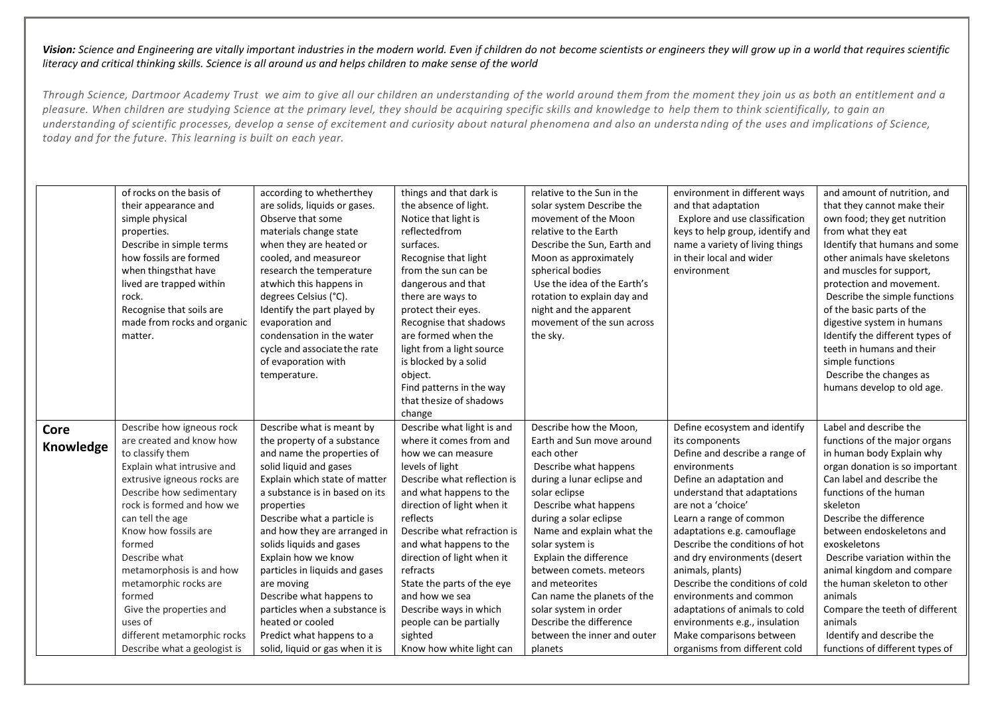|                   | of rocks on the basis of<br>their appearance and<br>simple physical<br>properties.<br>Describe in simple terms<br>how fossils are formed<br>when thingsthat have<br>lived are trapped within<br>rock.<br>Recognise that soils are<br>made from rocks and organic<br>matter. | according to whetherthey<br>are solids, liquids or gases.<br>Observe that some<br>materials change state<br>when they are heated or<br>cooled, and measureor<br>research the temperature<br>atwhich this happens in<br>degrees Celsius (°C).<br>Identify the part played by<br>evaporation and<br>condensation in the water<br>cycle and associate the rate<br>of evaporation with<br>temperature. | things and that dark is<br>the absence of light.<br>Notice that light is<br>reflectedfrom<br>surfaces.<br>Recognise that light<br>from the sun can be<br>dangerous and that<br>there are ways to<br>protect their eyes.<br>Recognise that shadows<br>are formed when the<br>light from a light source<br>is blocked by a solid<br>object.<br>Find patterns in the way<br>that thesize of shadows<br>change | relative to the Sun in the<br>solar system Describe the<br>movement of the Moon<br>relative to the Earth<br>Describe the Sun, Earth and<br>Moon as approximately<br>spherical bodies<br>Use the idea of the Earth's<br>rotation to explain day and<br>night and the apparent<br>movement of the sun across<br>the sky. | environment in different ways<br>and that adaptation<br>Explore and use classification<br>keys to help group, identify and<br>name a variety of living things<br>in their local and wider<br>environment | and amount of nutrition, and<br>that they cannot make their<br>own food; they get nutrition<br>from what they eat<br>Identify that humans and some<br>other animals have skeletons<br>and muscles for support,<br>protection and movement.<br>Describe the simple functions<br>of the basic parts of the<br>digestive system in humans<br>Identify the different types of<br>teeth in humans and their<br>simple functions<br>Describe the changes as<br>humans develop to old age. |
|-------------------|-----------------------------------------------------------------------------------------------------------------------------------------------------------------------------------------------------------------------------------------------------------------------------|----------------------------------------------------------------------------------------------------------------------------------------------------------------------------------------------------------------------------------------------------------------------------------------------------------------------------------------------------------------------------------------------------|------------------------------------------------------------------------------------------------------------------------------------------------------------------------------------------------------------------------------------------------------------------------------------------------------------------------------------------------------------------------------------------------------------|------------------------------------------------------------------------------------------------------------------------------------------------------------------------------------------------------------------------------------------------------------------------------------------------------------------------|----------------------------------------------------------------------------------------------------------------------------------------------------------------------------------------------------------|-------------------------------------------------------------------------------------------------------------------------------------------------------------------------------------------------------------------------------------------------------------------------------------------------------------------------------------------------------------------------------------------------------------------------------------------------------------------------------------|
| Core<br>Knowledge | Describe how igneous rock<br>are created and know how                                                                                                                                                                                                                       | Describe what is meant by<br>the property of a substance                                                                                                                                                                                                                                                                                                                                           | Describe what light is and<br>where it comes from and                                                                                                                                                                                                                                                                                                                                                      | Describe how the Moon,<br>Earth and Sun move around                                                                                                                                                                                                                                                                    | Define ecosystem and identify<br>its components                                                                                                                                                          | Label and describe the<br>functions of the major organs                                                                                                                                                                                                                                                                                                                                                                                                                             |
|                   | to classify them<br>Explain what intrusive and                                                                                                                                                                                                                              | and name the properties of<br>solid liquid and gases                                                                                                                                                                                                                                                                                                                                               | how we can measure<br>levels of light                                                                                                                                                                                                                                                                                                                                                                      | each other<br>Describe what happens                                                                                                                                                                                                                                                                                    | Define and describe a range of<br>environments                                                                                                                                                           | in human body Explain why<br>organ donation is so important                                                                                                                                                                                                                                                                                                                                                                                                                         |
|                   | extrusive igneous rocks are                                                                                                                                                                                                                                                 | Explain which state of matter                                                                                                                                                                                                                                                                                                                                                                      | Describe what reflection is                                                                                                                                                                                                                                                                                                                                                                                | during a lunar eclipse and                                                                                                                                                                                                                                                                                             | Define an adaptation and                                                                                                                                                                                 | Can label and describe the                                                                                                                                                                                                                                                                                                                                                                                                                                                          |
|                   | Describe how sedimentary                                                                                                                                                                                                                                                    | a substance is in based on its                                                                                                                                                                                                                                                                                                                                                                     | and what happens to the                                                                                                                                                                                                                                                                                                                                                                                    | solar eclipse                                                                                                                                                                                                                                                                                                          | understand that adaptations                                                                                                                                                                              | functions of the human                                                                                                                                                                                                                                                                                                                                                                                                                                                              |
|                   | rock is formed and how we                                                                                                                                                                                                                                                   | properties                                                                                                                                                                                                                                                                                                                                                                                         | direction of light when it                                                                                                                                                                                                                                                                                                                                                                                 | Describe what happens                                                                                                                                                                                                                                                                                                  | are not a 'choice'                                                                                                                                                                                       | skeleton                                                                                                                                                                                                                                                                                                                                                                                                                                                                            |
|                   | can tell the age                                                                                                                                                                                                                                                            | Describe what a particle is                                                                                                                                                                                                                                                                                                                                                                        | reflects                                                                                                                                                                                                                                                                                                                                                                                                   | during a solar eclipse                                                                                                                                                                                                                                                                                                 | Learn a range of common                                                                                                                                                                                  | Describe the difference                                                                                                                                                                                                                                                                                                                                                                                                                                                             |
|                   | Know how fossils are                                                                                                                                                                                                                                                        | and how they are arranged in                                                                                                                                                                                                                                                                                                                                                                       | Describe what refraction is                                                                                                                                                                                                                                                                                                                                                                                | Name and explain what the                                                                                                                                                                                                                                                                                              | adaptations e.g. camouflage                                                                                                                                                                              | between endoskeletons and                                                                                                                                                                                                                                                                                                                                                                                                                                                           |
|                   | formed                                                                                                                                                                                                                                                                      | solids liquids and gases                                                                                                                                                                                                                                                                                                                                                                           | and what happens to the                                                                                                                                                                                                                                                                                                                                                                                    | solar system is                                                                                                                                                                                                                                                                                                        | Describe the conditions of hot                                                                                                                                                                           | exoskeletons                                                                                                                                                                                                                                                                                                                                                                                                                                                                        |
|                   | Describe what                                                                                                                                                                                                                                                               | Explain how we know                                                                                                                                                                                                                                                                                                                                                                                | direction of light when it                                                                                                                                                                                                                                                                                                                                                                                 | Explain the difference                                                                                                                                                                                                                                                                                                 | and dry environments (desert                                                                                                                                                                             | Describe variation within the                                                                                                                                                                                                                                                                                                                                                                                                                                                       |
|                   | metamorphosis is and how                                                                                                                                                                                                                                                    | particles in liquids and gases                                                                                                                                                                                                                                                                                                                                                                     | refracts                                                                                                                                                                                                                                                                                                                                                                                                   | between comets, meteors                                                                                                                                                                                                                                                                                                | animals, plants)                                                                                                                                                                                         | animal kingdom and compare                                                                                                                                                                                                                                                                                                                                                                                                                                                          |
|                   | metamorphic rocks are                                                                                                                                                                                                                                                       | are moving                                                                                                                                                                                                                                                                                                                                                                                         | State the parts of the eye                                                                                                                                                                                                                                                                                                                                                                                 | and meteorites                                                                                                                                                                                                                                                                                                         | Describe the conditions of cold                                                                                                                                                                          | the human skeleton to other                                                                                                                                                                                                                                                                                                                                                                                                                                                         |
|                   | formed                                                                                                                                                                                                                                                                      | Describe what happens to                                                                                                                                                                                                                                                                                                                                                                           | and how we sea                                                                                                                                                                                                                                                                                                                                                                                             | Can name the planets of the                                                                                                                                                                                                                                                                                            | environments and common                                                                                                                                                                                  | animals                                                                                                                                                                                                                                                                                                                                                                                                                                                                             |
|                   | Give the properties and                                                                                                                                                                                                                                                     | particles when a substance is                                                                                                                                                                                                                                                                                                                                                                      | Describe ways in which                                                                                                                                                                                                                                                                                                                                                                                     | solar system in order                                                                                                                                                                                                                                                                                                  | adaptations of animals to cold                                                                                                                                                                           | Compare the teeth of different                                                                                                                                                                                                                                                                                                                                                                                                                                                      |
|                   | uses of                                                                                                                                                                                                                                                                     | heated or cooled                                                                                                                                                                                                                                                                                                                                                                                   | people can be partially                                                                                                                                                                                                                                                                                                                                                                                    | Describe the difference                                                                                                                                                                                                                                                                                                | environments e.g., insulation                                                                                                                                                                            | animals                                                                                                                                                                                                                                                                                                                                                                                                                                                                             |
|                   | different metamorphic rocks                                                                                                                                                                                                                                                 | Predict what happens to a                                                                                                                                                                                                                                                                                                                                                                          | sighted                                                                                                                                                                                                                                                                                                                                                                                                    | between the inner and outer                                                                                                                                                                                                                                                                                            | Make comparisons between                                                                                                                                                                                 | Identify and describe the                                                                                                                                                                                                                                                                                                                                                                                                                                                           |
|                   | Describe what a geologist is                                                                                                                                                                                                                                                | solid, liquid or gas when it is                                                                                                                                                                                                                                                                                                                                                                    | Know how white light can                                                                                                                                                                                                                                                                                                                                                                                   | planets                                                                                                                                                                                                                                                                                                                | organisms from different cold                                                                                                                                                                            | functions of different types of                                                                                                                                                                                                                                                                                                                                                                                                                                                     |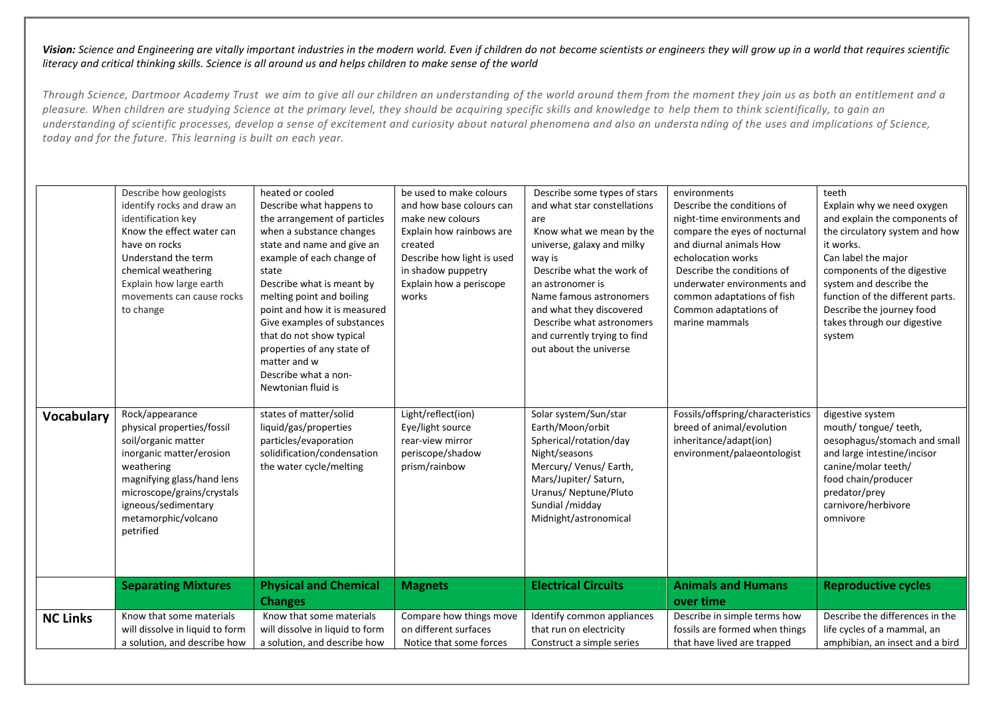|                 | Describe how geologists<br>identify rocks and draw an<br>identification key<br>Know the effect water can<br>have on rocks<br>Understand the term<br>chemical weathering<br>Explain how large earth<br>movements can cause rocks<br>to change | heated or cooled<br>Describe what happens to<br>the arrangement of particles<br>when a substance changes<br>state and name and give an<br>example of each change of<br>state<br>Describe what is meant by<br>melting point and boiling<br>point and how it is measured<br>Give examples of substances<br>that do not show typical<br>properties of any state of<br>matter and w<br>Describe what a non-<br>Newtonian fluid is | be used to make colours<br>and how base colours can<br>make new colours<br>Explain how rainbows are<br>created<br>Describe how light is used<br>in shadow puppetry<br>Explain how a periscope<br>works | Describe some types of stars<br>and what star constellations<br>are<br>Know what we mean by the<br>universe, galaxy and milky<br>way is<br>Describe what the work of<br>an astronomer is<br>Name famous astronomers<br>and what they discovered<br>Describe what astronomers<br>and currently trying to find<br>out about the universe | environments<br>Describe the conditions of<br>night-time environments and<br>compare the eyes of nocturnal<br>and diurnal animals How<br>echolocation works<br>Describe the conditions of<br>underwater environments and<br>common adaptations of fish<br>Common adaptations of<br>marine mammals | teeth<br>Explain why we need oxygen<br>and explain the components of<br>the circulatory system and how<br>it works.<br>Can label the major<br>components of the digestive<br>system and describe the<br>function of the different parts.<br>Describe the journey food<br>takes through our digestive<br>system |
|-----------------|----------------------------------------------------------------------------------------------------------------------------------------------------------------------------------------------------------------------------------------------|-------------------------------------------------------------------------------------------------------------------------------------------------------------------------------------------------------------------------------------------------------------------------------------------------------------------------------------------------------------------------------------------------------------------------------|--------------------------------------------------------------------------------------------------------------------------------------------------------------------------------------------------------|----------------------------------------------------------------------------------------------------------------------------------------------------------------------------------------------------------------------------------------------------------------------------------------------------------------------------------------|---------------------------------------------------------------------------------------------------------------------------------------------------------------------------------------------------------------------------------------------------------------------------------------------------|----------------------------------------------------------------------------------------------------------------------------------------------------------------------------------------------------------------------------------------------------------------------------------------------------------------|
| Vocabulary      | Rock/appearance<br>physical properties/fossil<br>soil/organic matter<br>inorganic matter/erosion<br>weathering<br>magnifying glass/hand lens<br>microscope/grains/crystals<br>igneous/sedimentary<br>metamorphic/volcano<br>petrified        | states of matter/solid<br>liquid/gas/properties<br>particles/evaporation<br>solidification/condensation<br>the water cycle/melting                                                                                                                                                                                                                                                                                            | Light/reflect(ion)<br>Eye/light source<br>rear-view mirror<br>periscope/shadow<br>prism/rainbow                                                                                                        | Solar system/Sun/star<br>Earth/Moon/orbit<br>Spherical/rotation/day<br>Night/seasons<br>Mercury/ Venus/ Earth,<br>Mars/Jupiter/ Saturn,<br>Uranus/ Neptune/Pluto<br>Sundial /midday<br>Midnight/astronomical                                                                                                                           | Fossils/offspring/characteristics<br>breed of animal/evolution<br>inheritance/adapt(ion)<br>environment/palaeontologist                                                                                                                                                                           | digestive system<br>mouth/ tongue/ teeth,<br>oesophagus/stomach and small<br>and large intestine/incisor<br>canine/molar teeth/<br>food chain/producer<br>predator/prey<br>carnivore/herbivore<br>omnivore                                                                                                     |
|                 | <b>Separating Mixtures</b>                                                                                                                                                                                                                   | <b>Physical and Chemical</b><br><b>Changes</b>                                                                                                                                                                                                                                                                                                                                                                                | <b>Magnets</b>                                                                                                                                                                                         | <b>Electrical Circuits</b>                                                                                                                                                                                                                                                                                                             | <b>Animals and Humans</b><br>over time                                                                                                                                                                                                                                                            | <b>Reproductive cycles</b>                                                                                                                                                                                                                                                                                     |
| <b>NC Links</b> | Know that some materials<br>will dissolve in liquid to form<br>a solution, and describe how                                                                                                                                                  | Know that some materials<br>will dissolve in liquid to form<br>a solution, and describe how                                                                                                                                                                                                                                                                                                                                   | Compare how things move<br>on different surfaces<br>Notice that some forces                                                                                                                            | Identify common appliances<br>that run on electricity<br>Construct a simple series                                                                                                                                                                                                                                                     | Describe in simple terms how<br>fossils are formed when things<br>that have lived are trapped                                                                                                                                                                                                     | Describe the differences in the<br>life cycles of a mammal, an<br>amphibian, an insect and a bird                                                                                                                                                                                                              |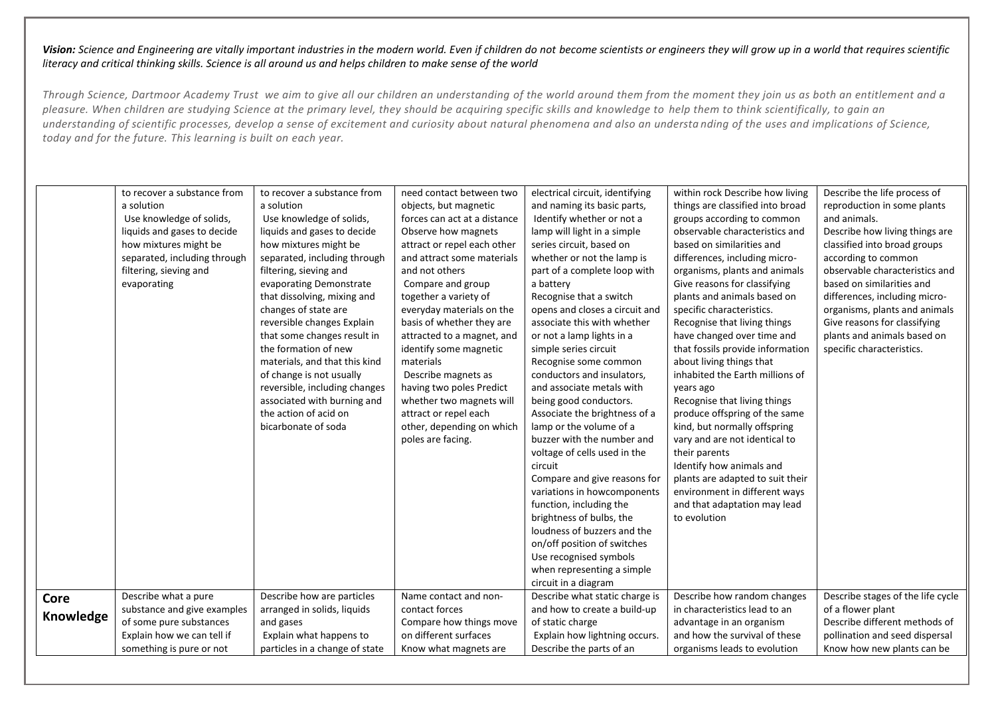|                   | to recover a substance from<br>a solution<br>Use knowledge of solids,<br>liquids and gases to decide<br>how mixtures might be<br>separated, including through<br>filtering, sieving and<br>evaporating | to recover a substance from<br>a solution<br>Use knowledge of solids,<br>liquids and gases to decide<br>how mixtures might be<br>separated, including through<br>filtering, sieving and<br>evaporating Demonstrate                                                                                                    | need contact between two<br>objects, but magnetic<br>forces can act at a distance<br>Observe how magnets<br>attract or repel each other<br>and attract some materials<br>and not others<br>Compare and group                                                                                                   | electrical circuit, identifying<br>and naming its basic parts,<br>Identify whether or not a<br>lamp will light in a simple<br>series circuit, based on<br>whether or not the lamp is<br>part of a complete loop with<br>a battery                                                                                                                                                                                                                                                                                                                                                                                                             | within rock Describe how living<br>things are classified into broad<br>groups according to common<br>observable characteristics and<br>based on similarities and<br>differences, including micro-<br>organisms, plants and animals<br>Give reasons for classifying                                                                                                                                                                                                                                                                         | Describe the life process of<br>reproduction in some plants<br>and animals.<br>Describe how living things are<br>classified into broad groups<br>according to common<br>observable characteristics and<br>based on similarities and |
|-------------------|--------------------------------------------------------------------------------------------------------------------------------------------------------------------------------------------------------|-----------------------------------------------------------------------------------------------------------------------------------------------------------------------------------------------------------------------------------------------------------------------------------------------------------------------|----------------------------------------------------------------------------------------------------------------------------------------------------------------------------------------------------------------------------------------------------------------------------------------------------------------|-----------------------------------------------------------------------------------------------------------------------------------------------------------------------------------------------------------------------------------------------------------------------------------------------------------------------------------------------------------------------------------------------------------------------------------------------------------------------------------------------------------------------------------------------------------------------------------------------------------------------------------------------|--------------------------------------------------------------------------------------------------------------------------------------------------------------------------------------------------------------------------------------------------------------------------------------------------------------------------------------------------------------------------------------------------------------------------------------------------------------------------------------------------------------------------------------------|-------------------------------------------------------------------------------------------------------------------------------------------------------------------------------------------------------------------------------------|
|                   |                                                                                                                                                                                                        | that dissolving, mixing and<br>changes of state are<br>reversible changes Explain<br>that some changes result in<br>the formation of new<br>materials, and that this kind<br>of change is not usually<br>reversible, including changes<br>associated with burning and<br>the action of acid on<br>bicarbonate of soda | together a variety of<br>everyday materials on the<br>basis of whether they are<br>attracted to a magnet, and<br>identify some magnetic<br>materials<br>Describe magnets as<br>having two poles Predict<br>whether two magnets will<br>attract or repel each<br>other, depending on which<br>poles are facing. | Recognise that a switch<br>opens and closes a circuit and<br>associate this with whether<br>or not a lamp lights in a<br>simple series circuit<br>Recognise some common<br>conductors and insulators,<br>and associate metals with<br>being good conductors.<br>Associate the brightness of a<br>lamp or the volume of a<br>buzzer with the number and<br>voltage of cells used in the<br>circuit<br>Compare and give reasons for<br>variations in howcomponents<br>function, including the<br>brightness of bulbs, the<br>loudness of buzzers and the<br>on/off position of switches<br>Use recognised symbols<br>when representing a simple | plants and animals based on<br>specific characteristics.<br>Recognise that living things<br>have changed over time and<br>that fossils provide information<br>about living things that<br>inhabited the Earth millions of<br>years ago<br>Recognise that living things<br>produce offspring of the same<br>kind, but normally offspring<br>vary and are not identical to<br>their parents<br>Identify how animals and<br>plants are adapted to suit their<br>environment in different ways<br>and that adaptation may lead<br>to evolution | differences, including micro-<br>organisms, plants and animals<br>Give reasons for classifying<br>plants and animals based on<br>specific characteristics.                                                                          |
| Core<br>Knowledge | Describe what a pure<br>substance and give examples<br>of some pure substances<br>Explain how we can tell if<br>something is pure or not                                                               | Describe how are particles<br>arranged in solids, liquids<br>and gases<br>Explain what happens to<br>particles in a change of state                                                                                                                                                                                   | Name contact and non-<br>contact forces<br>Compare how things move<br>on different surfaces<br>Know what magnets are                                                                                                                                                                                           | circuit in a diagram<br>Describe what static charge is<br>and how to create a build-up<br>of static charge<br>Explain how lightning occurs.<br>Describe the parts of an                                                                                                                                                                                                                                                                                                                                                                                                                                                                       | Describe how random changes<br>in characteristics lead to an<br>advantage in an organism<br>and how the survival of these<br>organisms leads to evolution                                                                                                                                                                                                                                                                                                                                                                                  | Describe stages of the life cycle<br>of a flower plant<br>Describe different methods of<br>pollination and seed dispersal<br>Know how new plants can be                                                                             |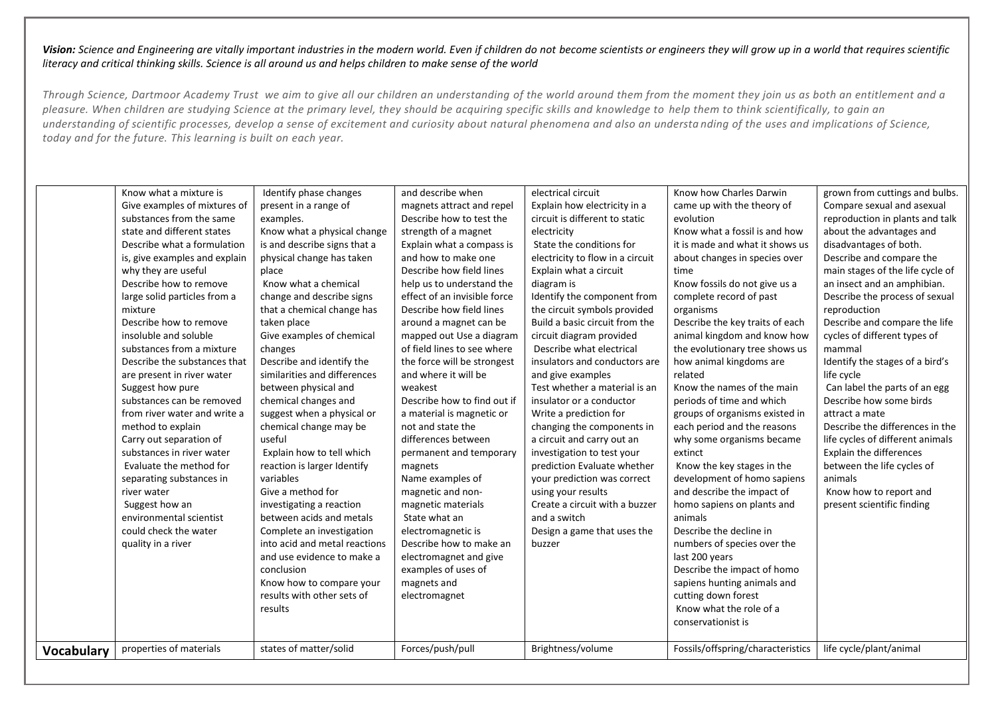|                   | Know what a mixture is<br>Give examples of mixtures of<br>substances from the same<br>state and different states<br>Describe what a formulation<br>is, give examples and explain<br>why they are useful<br>Describe how to remove<br>large solid particles from a<br>mixture<br>Describe how to remove<br>insoluble and soluble<br>substances from a mixture<br>Describe the substances that<br>are present in river water<br>Suggest how pure<br>substances can be removed<br>from river water and write a<br>method to explain<br>Carry out separation of<br>substances in river water<br>Evaluate the method for<br>separating substances in<br>river water<br>Suggest how an<br>environmental scientist<br>could check the water<br>quality in a river | Identify phase changes<br>present in a range of<br>examples.<br>Know what a physical change<br>is and describe signs that a<br>physical change has taken<br>place<br>Know what a chemical<br>change and describe signs<br>that a chemical change has<br>taken place<br>Give examples of chemical<br>changes<br>Describe and identify the<br>similarities and differences<br>between physical and<br>chemical changes and<br>suggest when a physical or<br>chemical change may be<br>useful<br>Explain how to tell which<br>reaction is larger Identify<br>variables<br>Give a method for<br>investigating a reaction<br>between acids and metals<br>Complete an investigation<br>into acid and metal reactions<br>and use evidence to make a<br>conclusion<br>Know how to compare your | and describe when<br>magnets attract and repel<br>Describe how to test the<br>strength of a magnet<br>Explain what a compass is<br>and how to make one<br>Describe how field lines<br>help us to understand the<br>effect of an invisible force<br>Describe how field lines<br>around a magnet can be<br>mapped out Use a diagram<br>of field lines to see where<br>the force will be strongest<br>and where it will be<br>weakest<br>Describe how to find out if<br>a material is magnetic or<br>not and state the<br>differences between<br>permanent and temporary<br>magnets<br>Name examples of<br>magnetic and non-<br>magnetic materials<br>State what an<br>electromagnetic is<br>Describe how to make an<br>electromagnet and give<br>examples of uses of<br>magnets and | electrical circuit<br>Explain how electricity in a<br>circuit is different to static<br>electricity<br>State the conditions for<br>electricity to flow in a circuit<br>Explain what a circuit<br>diagram is<br>Identify the component from<br>the circuit symbols provided<br>Build a basic circuit from the<br>circuit diagram provided<br>Describe what electrical<br>insulators and conductors are<br>and give examples<br>Test whether a material is an<br>insulator or a conductor<br>Write a prediction for<br>changing the components in<br>a circuit and carry out an<br>investigation to test your<br>prediction Evaluate whether<br>your prediction was correct<br>using your results<br>Create a circuit with a buzzer<br>and a switch<br>Design a game that uses the<br>buzzer | Know how Charles Darwin<br>came up with the theory of<br>evolution<br>Know what a fossil is and how<br>it is made and what it shows us<br>about changes in species over<br>time<br>Know fossils do not give us a<br>complete record of past<br>organisms<br>Describe the key traits of each<br>animal kingdom and know how<br>the evolutionary tree shows us<br>how animal kingdoms are<br>related<br>Know the names of the main<br>periods of time and which<br>groups of organisms existed in<br>each period and the reasons<br>why some organisms became<br>extinct<br>Know the key stages in the<br>development of homo sapiens<br>and describe the impact of<br>homo sapiens on plants and<br>animals<br>Describe the decline in<br>numbers of species over the<br>last 200 years<br>Describe the impact of homo<br>sapiens hunting animals and | grown from cuttings and bulbs.<br>Compare sexual and asexual<br>reproduction in plants and talk<br>about the advantages and<br>disadvantages of both.<br>Describe and compare the<br>main stages of the life cycle of<br>an insect and an amphibian.<br>Describe the process of sexual<br>reproduction<br>Describe and compare the life<br>cycles of different types of<br>mammal<br>Identify the stages of a bird's<br>life cycle<br>Can label the parts of an egg<br>Describe how some birds<br>attract a mate<br>Describe the differences in the<br>life cycles of different animals<br>Explain the differences<br>between the life cycles of<br>animals<br>Know how to report and<br>present scientific finding |
|-------------------|------------------------------------------------------------------------------------------------------------------------------------------------------------------------------------------------------------------------------------------------------------------------------------------------------------------------------------------------------------------------------------------------------------------------------------------------------------------------------------------------------------------------------------------------------------------------------------------------------------------------------------------------------------------------------------------------------------------------------------------------------------|----------------------------------------------------------------------------------------------------------------------------------------------------------------------------------------------------------------------------------------------------------------------------------------------------------------------------------------------------------------------------------------------------------------------------------------------------------------------------------------------------------------------------------------------------------------------------------------------------------------------------------------------------------------------------------------------------------------------------------------------------------------------------------------|-----------------------------------------------------------------------------------------------------------------------------------------------------------------------------------------------------------------------------------------------------------------------------------------------------------------------------------------------------------------------------------------------------------------------------------------------------------------------------------------------------------------------------------------------------------------------------------------------------------------------------------------------------------------------------------------------------------------------------------------------------------------------------------|--------------------------------------------------------------------------------------------------------------------------------------------------------------------------------------------------------------------------------------------------------------------------------------------------------------------------------------------------------------------------------------------------------------------------------------------------------------------------------------------------------------------------------------------------------------------------------------------------------------------------------------------------------------------------------------------------------------------------------------------------------------------------------------------|------------------------------------------------------------------------------------------------------------------------------------------------------------------------------------------------------------------------------------------------------------------------------------------------------------------------------------------------------------------------------------------------------------------------------------------------------------------------------------------------------------------------------------------------------------------------------------------------------------------------------------------------------------------------------------------------------------------------------------------------------------------------------------------------------------------------------------------------------|---------------------------------------------------------------------------------------------------------------------------------------------------------------------------------------------------------------------------------------------------------------------------------------------------------------------------------------------------------------------------------------------------------------------------------------------------------------------------------------------------------------------------------------------------------------------------------------------------------------------------------------------------------------------------------------------------------------------|
| <b>Vocabulary</b> | properties of materials                                                                                                                                                                                                                                                                                                                                                                                                                                                                                                                                                                                                                                                                                                                                    | results with other sets of<br>results<br>states of matter/solid                                                                                                                                                                                                                                                                                                                                                                                                                                                                                                                                                                                                                                                                                                                        | electromagnet<br>Forces/push/pull                                                                                                                                                                                                                                                                                                                                                                                                                                                                                                                                                                                                                                                                                                                                                 | Brightness/volume                                                                                                                                                                                                                                                                                                                                                                                                                                                                                                                                                                                                                                                                                                                                                                          | cutting down forest<br>Know what the role of a<br>conservationist is<br>Fossils/offspring/characteristics                                                                                                                                                                                                                                                                                                                                                                                                                                                                                                                                                                                                                                                                                                                                            | life cycle/plant/animal                                                                                                                                                                                                                                                                                                                                                                                                                                                                                                                                                                                                                                                                                             |
|                   |                                                                                                                                                                                                                                                                                                                                                                                                                                                                                                                                                                                                                                                                                                                                                            |                                                                                                                                                                                                                                                                                                                                                                                                                                                                                                                                                                                                                                                                                                                                                                                        |                                                                                                                                                                                                                                                                                                                                                                                                                                                                                                                                                                                                                                                                                                                                                                                   |                                                                                                                                                                                                                                                                                                                                                                                                                                                                                                                                                                                                                                                                                                                                                                                            |                                                                                                                                                                                                                                                                                                                                                                                                                                                                                                                                                                                                                                                                                                                                                                                                                                                      |                                                                                                                                                                                                                                                                                                                                                                                                                                                                                                                                                                                                                                                                                                                     |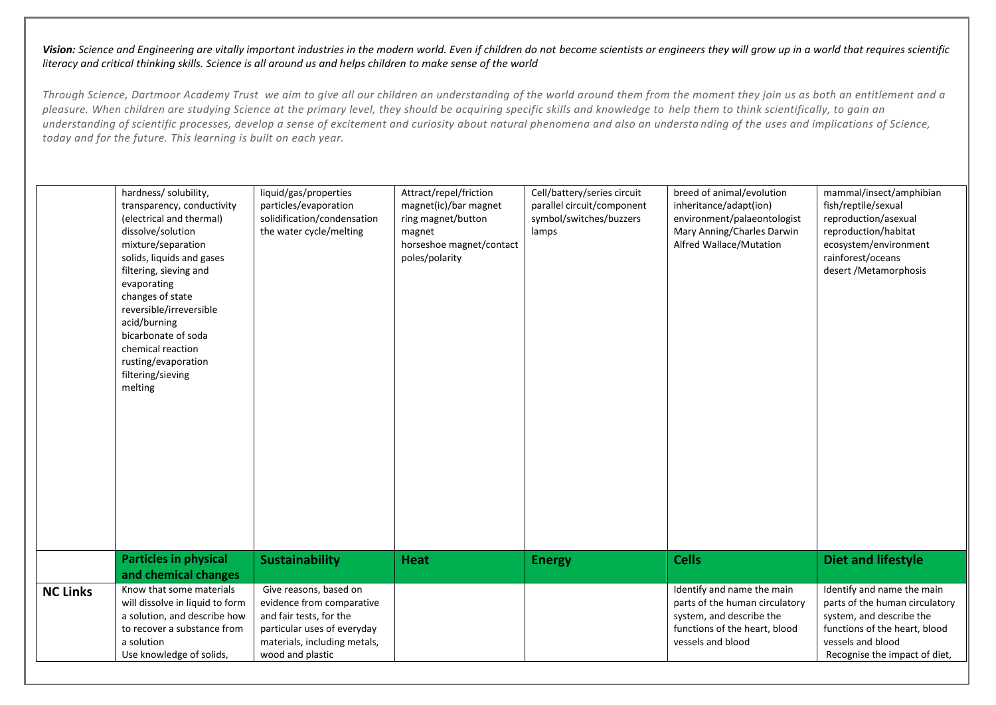|                 | hardness/ solubility,<br>transparency, conductivity<br>(electrical and thermal)<br>dissolve/solution<br>mixture/separation<br>solids, liquids and gases<br>filtering, sieving and<br>evaporating<br>changes of state<br>reversible/irreversible<br>acid/burning<br>bicarbonate of soda<br>chemical reaction<br>rusting/evaporation<br>filtering/sieving<br>melting | liquid/gas/properties<br>particles/evaporation<br>solidification/condensation<br>the water cycle/melting                                                          | Attract/repel/friction<br>magnet(ic)/bar magnet<br>ring magnet/button<br>magnet<br>horseshoe magnet/contact<br>poles/polarity | Cell/battery/series circuit<br>parallel circuit/component<br>symbol/switches/buzzers<br>lamps | breed of animal/evolution<br>inheritance/adapt(ion)<br>environment/palaeontologist<br>Mary Anning/Charles Darwin<br>Alfred Wallace/Mutation    | mammal/insect/amphibian<br>fish/reptile/sexual<br>reproduction/asexual<br>reproduction/habitat<br>ecosystem/environment<br>rainforest/oceans<br>desert / Metamorphosis          |
|-----------------|--------------------------------------------------------------------------------------------------------------------------------------------------------------------------------------------------------------------------------------------------------------------------------------------------------------------------------------------------------------------|-------------------------------------------------------------------------------------------------------------------------------------------------------------------|-------------------------------------------------------------------------------------------------------------------------------|-----------------------------------------------------------------------------------------------|------------------------------------------------------------------------------------------------------------------------------------------------|---------------------------------------------------------------------------------------------------------------------------------------------------------------------------------|
|                 | <b>Particles in physical</b><br>and chemical changes                                                                                                                                                                                                                                                                                                               | <b>Sustainability</b>                                                                                                                                             | <b>Heat</b>                                                                                                                   | <b>Energy</b>                                                                                 | <b>Cells</b>                                                                                                                                   | <b>Diet and lifestyle</b>                                                                                                                                                       |
| <b>NC Links</b> | Know that some materials<br>will dissolve in liquid to form<br>a solution, and describe how<br>to recover a substance from<br>a solution<br>Use knowledge of solids,                                                                                                                                                                                               | Give reasons, based on<br>evidence from comparative<br>and fair tests, for the<br>particular uses of everyday<br>materials, including metals,<br>wood and plastic |                                                                                                                               |                                                                                               | Identify and name the main<br>parts of the human circulatory<br>system, and describe the<br>functions of the heart, blood<br>vessels and blood | Identify and name the main<br>parts of the human circulatory<br>system, and describe the<br>functions of the heart, blood<br>vessels and blood<br>Recognise the impact of diet, |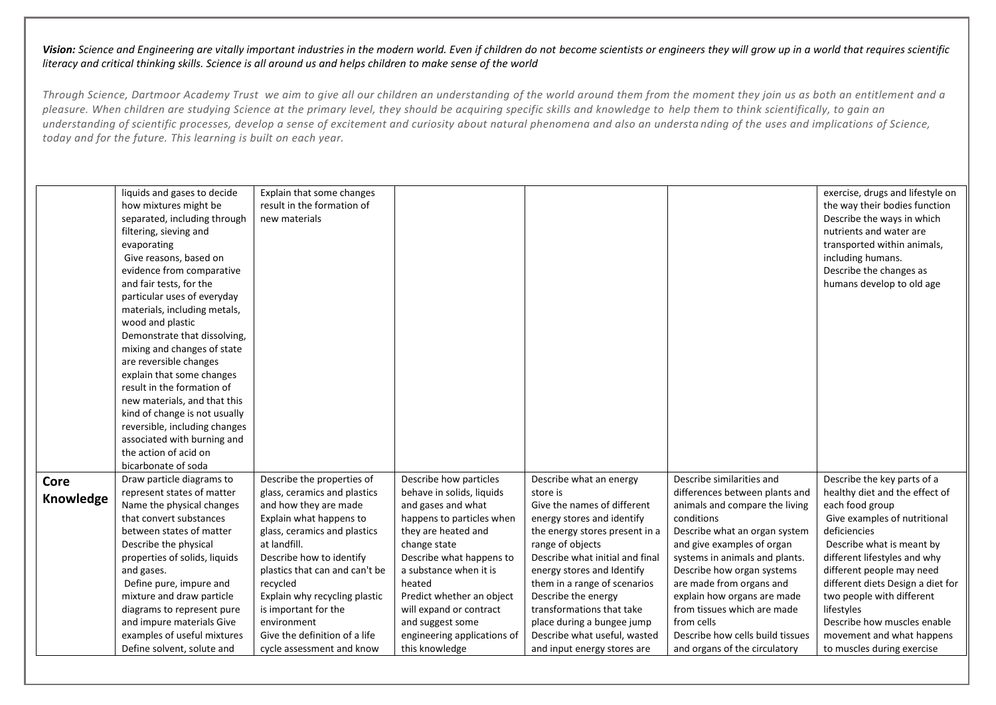|           | liquids and gases to decide   | Explain that some changes      |                             |                                                  |                                                            | exercise, drugs and lifestyle on          |
|-----------|-------------------------------|--------------------------------|-----------------------------|--------------------------------------------------|------------------------------------------------------------|-------------------------------------------|
|           | how mixtures might be         | result in the formation of     |                             |                                                  |                                                            | the way their bodies function             |
|           | separated, including through  | new materials                  |                             |                                                  |                                                            | Describe the ways in which                |
|           | filtering, sieving and        |                                |                             |                                                  |                                                            | nutrients and water are                   |
|           | evaporating                   |                                |                             |                                                  |                                                            | transported within animals,               |
|           | Give reasons, based on        |                                |                             |                                                  |                                                            | including humans.                         |
|           | evidence from comparative     |                                |                             |                                                  |                                                            | Describe the changes as                   |
|           | and fair tests, for the       |                                |                             |                                                  |                                                            | humans develop to old age                 |
|           | particular uses of everyday   |                                |                             |                                                  |                                                            |                                           |
|           | materials, including metals,  |                                |                             |                                                  |                                                            |                                           |
|           | wood and plastic              |                                |                             |                                                  |                                                            |                                           |
|           | Demonstrate that dissolving,  |                                |                             |                                                  |                                                            |                                           |
|           | mixing and changes of state   |                                |                             |                                                  |                                                            |                                           |
|           | are reversible changes        |                                |                             |                                                  |                                                            |                                           |
|           | explain that some changes     |                                |                             |                                                  |                                                            |                                           |
|           | result in the formation of    |                                |                             |                                                  |                                                            |                                           |
|           | new materials, and that this  |                                |                             |                                                  |                                                            |                                           |
|           | kind of change is not usually |                                |                             |                                                  |                                                            |                                           |
|           | reversible, including changes |                                |                             |                                                  |                                                            |                                           |
|           | associated with burning and   |                                |                             |                                                  |                                                            |                                           |
|           | the action of acid on         |                                |                             |                                                  |                                                            |                                           |
|           | bicarbonate of soda           |                                |                             |                                                  |                                                            |                                           |
| Core      | Draw particle diagrams to     | Describe the properties of     | Describe how particles      | Describe what an energy                          | Describe similarities and                                  | Describe the key parts of a               |
| Knowledge | represent states of matter    | glass, ceramics and plastics   | behave in solids, liquids   | store is                                         | differences between plants and                             | healthy diet and the effect of            |
|           | Name the physical changes     | and how they are made          | and gases and what          | Give the names of different                      | animals and compare the living                             | each food group                           |
|           | that convert substances       | Explain what happens to        | happens to particles when   | energy stores and identify                       | conditions                                                 | Give examples of nutritional              |
|           | between states of matter      | glass, ceramics and plastics   | they are heated and         | the energy stores present in a                   | Describe what an organ system                              | deficiencies                              |
|           | Describe the physical         | at landfill.                   | change state                | range of objects                                 | and give examples of organ                                 | Describe what is meant by                 |
|           | properties of solids, liquids | Describe how to identify       | Describe what happens to    | Describe what initial and final                  | systems in animals and plants.                             | different lifestyles and why              |
|           | and gases.                    | plastics that can and can't be | a substance when it is      | energy stores and Identify                       | Describe how organ systems                                 | different people may need                 |
|           | Define pure, impure and       | recycled                       | heated                      | them in a range of scenarios                     | are made from organs and                                   | different diets Design a diet for         |
|           | mixture and draw particle     | Explain why recycling plastic  | Predict whether an object   | Describe the energy<br>transformations that take | explain how organs are made<br>from tissues which are made | two people with different                 |
|           | diagrams to represent pure    | is important for the           | will expand or contract     |                                                  | from cells                                                 | lifestyles<br>Describe how muscles enable |
|           | and impure materials Give     | environment                    | and suggest some            | place during a bungee jump                       | Describe how cells build tissues                           |                                           |
|           | examples of useful mixtures   | Give the definition of a life  | engineering applications of | Describe what useful, wasted                     |                                                            | movement and what happens                 |
|           | Define solvent, solute and    | cycle assessment and know      | this knowledge              | and input energy stores are                      | and organs of the circulatory                              | to muscles during exercise                |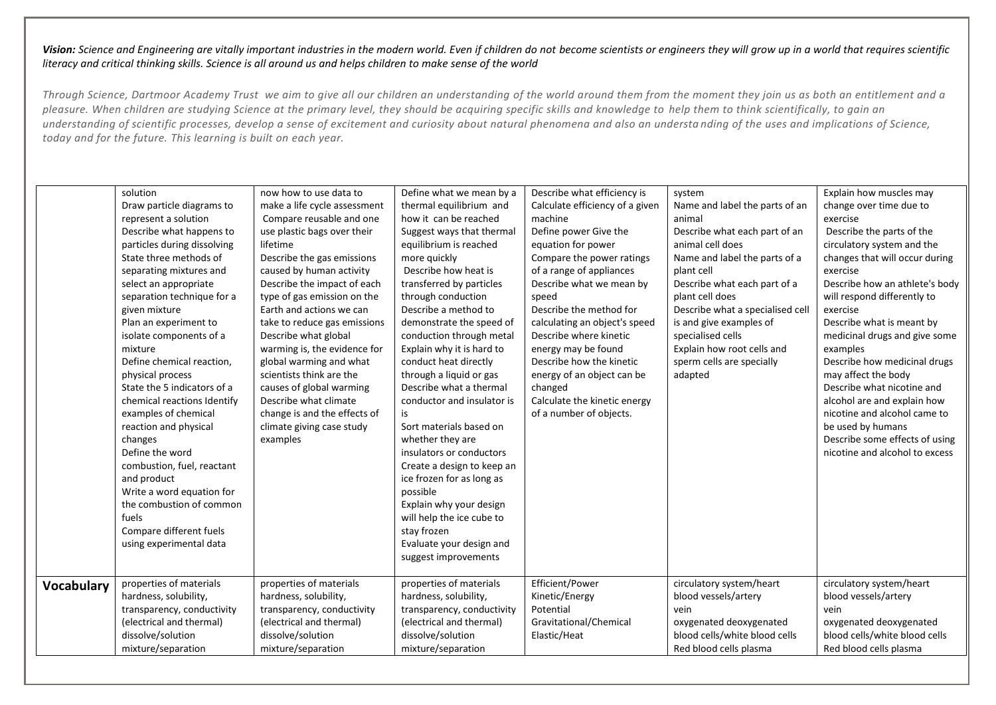|                   | solution                    | now how to use data to       | Define what we mean by a   | Describe what efficiency is     | system                           | Explain how muscles may        |
|-------------------|-----------------------------|------------------------------|----------------------------|---------------------------------|----------------------------------|--------------------------------|
|                   | Draw particle diagrams to   | make a life cycle assessment | thermal equilibrium and    | Calculate efficiency of a given | Name and label the parts of an   | change over time due to        |
|                   | represent a solution        | Compare reusable and one     | how it can be reached      | machine                         | animal                           | exercise                       |
|                   | Describe what happens to    | use plastic bags over their  | Suggest ways that thermal  | Define power Give the           | Describe what each part of an    | Describe the parts of the      |
|                   | particles during dissolving | lifetime                     | equilibrium is reached     | equation for power              | animal cell does                 | circulatory system and the     |
|                   | State three methods of      | Describe the gas emissions   | more quickly               | Compare the power ratings       | Name and label the parts of a    | changes that will occur during |
|                   | separating mixtures and     | caused by human activity     | Describe how heat is       | of a range of appliances        | plant cell                       | exercise                       |
|                   | select an appropriate       | Describe the impact of each  | transferred by particles   | Describe what we mean by        | Describe what each part of a     | Describe how an athlete's body |
|                   | separation technique for a  | type of gas emission on the  | through conduction         | speed                           | plant cell does                  | will respond differently to    |
|                   | given mixture               | Earth and actions we can     | Describe a method to       | Describe the method for         | Describe what a specialised cell | exercise                       |
|                   | Plan an experiment to       | take to reduce gas emissions | demonstrate the speed of   | calculating an object's speed   | is and give examples of          | Describe what is meant by      |
|                   | isolate components of a     | Describe what global         | conduction through metal   | Describe where kinetic          | specialised cells                | medicinal drugs and give some  |
|                   | mixture                     | warming is, the evidence for | Explain why it is hard to  | energy may be found             | Explain how root cells and       | examples                       |
|                   | Define chemical reaction,   | global warming and what      | conduct heat directly      | Describe how the kinetic        | sperm cells are specially        | Describe how medicinal drugs   |
|                   | physical process            | scientists think are the     | through a liquid or gas    | energy of an object can be      | adapted                          | may affect the body            |
|                   | State the 5 indicators of a | causes of global warming     | Describe what a thermal    | changed                         |                                  | Describe what nicotine and     |
|                   | chemical reactions Identify | Describe what climate        | conductor and insulator is | Calculate the kinetic energy    |                                  | alcohol are and explain how    |
|                   | examples of chemical        | change is and the effects of | is                         | of a number of objects.         |                                  | nicotine and alcohol came to   |
|                   | reaction and physical       | climate giving case study    | Sort materials based on    |                                 |                                  | be used by humans              |
|                   | changes                     | examples                     | whether they are           |                                 |                                  | Describe some effects of using |
|                   | Define the word             |                              | insulators or conductors   |                                 |                                  | nicotine and alcohol to excess |
|                   | combustion, fuel, reactant  |                              | Create a design to keep an |                                 |                                  |                                |
|                   | and product                 |                              | ice frozen for as long as  |                                 |                                  |                                |
|                   | Write a word equation for   |                              | possible                   |                                 |                                  |                                |
|                   | the combustion of common    |                              | Explain why your design    |                                 |                                  |                                |
|                   | fuels                       |                              | will help the ice cube to  |                                 |                                  |                                |
|                   | Compare different fuels     |                              | stay frozen                |                                 |                                  |                                |
|                   | using experimental data     |                              | Evaluate your design and   |                                 |                                  |                                |
|                   |                             |                              | suggest improvements       |                                 |                                  |                                |
|                   |                             |                              |                            |                                 |                                  |                                |
| <b>Vocabulary</b> | properties of materials     | properties of materials      | properties of materials    | Efficient/Power                 | circulatory system/heart         | circulatory system/heart       |
|                   | hardness, solubility,       | hardness, solubility,        | hardness, solubility,      | Kinetic/Energy                  | blood vessels/artery             | blood vessels/artery           |
|                   | transparency, conductivity  | transparency, conductivity   | transparency, conductivity | Potential                       | vein                             | vein                           |
|                   | (electrical and thermal)    | (electrical and thermal)     | (electrical and thermal)   | Gravitational/Chemical          | oxygenated deoxygenated          | oxygenated deoxygenated        |
|                   | dissolve/solution           | dissolve/solution            | dissolve/solution          | Elastic/Heat                    | blood cells/white blood cells    | blood cells/white blood cells  |
|                   | mixture/separation          | mixture/separation           | mixture/separation         |                                 | Red blood cells plasma           | Red blood cells plasma         |
|                   |                             |                              |                            |                                 |                                  |                                |